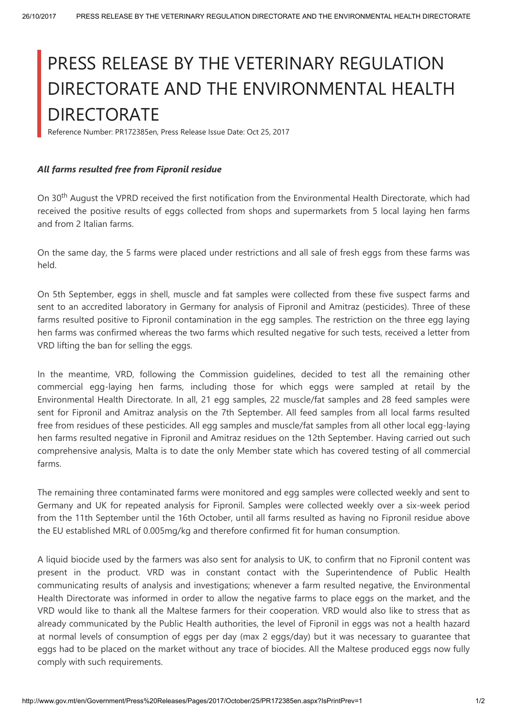## PRESS RELEASE BY THE VETERINARY REGULATION DIRECTORATE AND THE ENVIRONMENTAL HEALTH **DIRECTORATE**

Reference Number: PR172385en, Press Release Issue Date: Oct 25, 2017

## All farms resulted free from Fipronil residue

On 30<sup>th</sup> August the VPRD received the first notification from the Environmental Health Directorate, which had received the positive results of eggs collected from shops and supermarkets from 5 local laying hen farms and from 2 Italian farms.

On the same day, the 5 farms were placed under restrictions and all sale of fresh eggs from these farms was held.

On 5th September, eggs in shell, muscle and fat samples were collected from these five suspect farms and sent to an accredited laboratory in Germany for analysis of Fipronil and Amitraz (pesticides). Three of these farms resulted positive to Fipronil contamination in the egg samples. The restriction on the three egg laying hen farms was confirmed whereas the two farms which resulted negative for such tests, received a letter from VRD lifting the ban for selling the eggs.

In the meantime, VRD, following the Commission guidelines, decided to test all the remaining other commercial egg-laying hen farms, including those for which eggs were sampled at retail by the Environmental Health Directorate. In all, 21 egg samples, 22 muscle/fat samples and 28 feed samples were sent for Fipronil and Amitraz analysis on the 7th September. All feed samples from all local farms resulted free from residues of these pesticides. All egg samples and muscle/fat samples from all other local egg-laying hen farms resulted negative in Fipronil and Amitraz residues on the 12th September. Having carried out such comprehensive analysis, Malta is to date the only Member state which has covered testing of all commercial farms.

The remaining three contaminated farms were monitored and egg samples were collected weekly and sent to Germany and UK for repeated analysis for Fipronil. Samples were collected weekly over a six-week period from the 11th September until the 16th October, until all farms resulted as having no Fipronil residue above the EU established MRL of 0.005mg/kg and therefore confirmed fit for human consumption.

A liquid biocide used by the farmers was also sent for analysis to UK, to confirm that no Fipronil content was present in the product. VRD was in constant contact with the Superintendence of Public Health communicating results of analysis and investigations; whenever a farm resulted negative, the Environmental Health Directorate was informed in order to allow the negative farms to place eggs on the market, and the VRD would like to thank all the Maltese farmers for their cooperation. VRD would also like to stress that as already communicated by the Public Health authorities, the level of Fipronil in eggs was not a health hazard at normal levels of consumption of eggs per day (max 2 eggs/day) but it was necessary to guarantee that eggs had to be placed on the market without any trace of biocides. All the Maltese produced eggs now fully comply with such requirements.